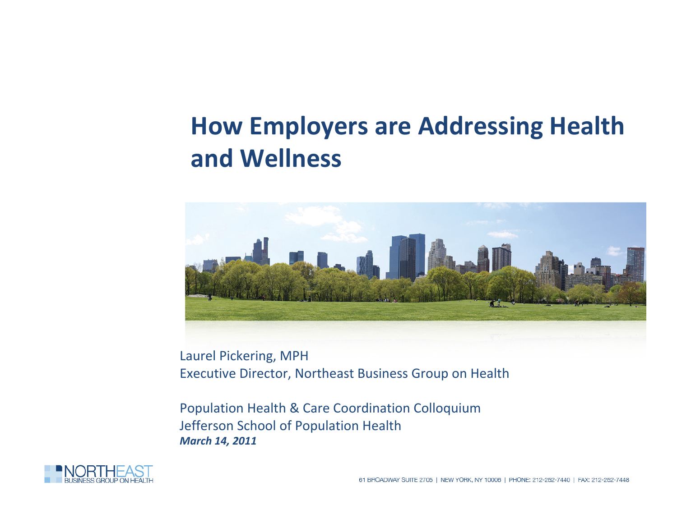#### edit Master text styles **How Employers are Addressing Health** level **and Wellness**



Laurel Pickering, MPH Executive Director, Northeast Business Group on Health

Population Health & Care Coordination Colloquium Jefferson School of Population Health *March 14, 2011*

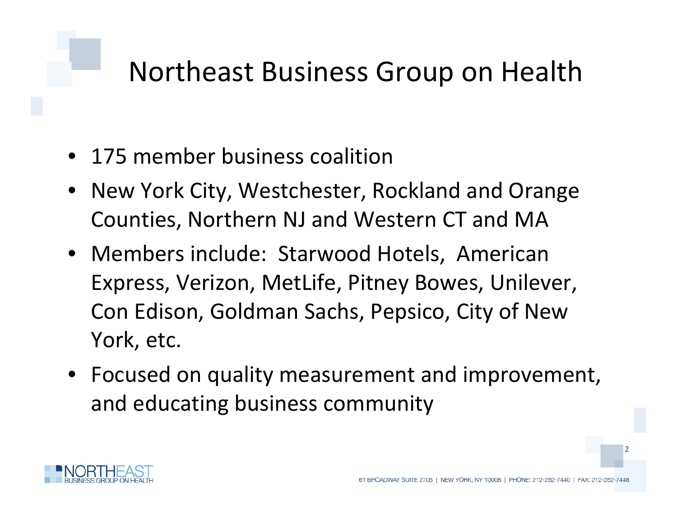### **Northeast Business Group on Health**

- 175 member business coalition
- New York City, Westchester, Rockland and Orange Counties, Northern NJ and Western CT and MA
- Members include: Starwood Hotels, American Express, Verizon, MetLife, Pitney Bowes, Unilever, Con Edison, Goldman Sachs, Pepsico, City of New York, etc.
- Focused on quality measurement and improvement, and educating business community

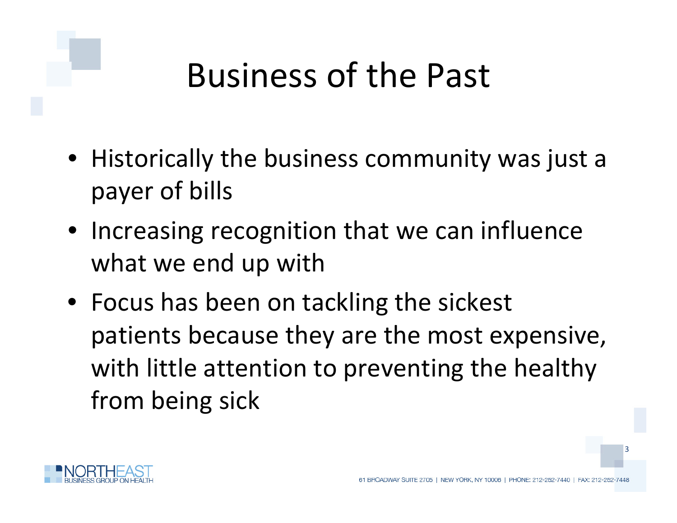## **Business of the Past**

- $\bullet\,$  Historically the business community was just a Fourth level DIIIS **level** payer of bills
- Increasing recognition that we can influence what we end up with
- Focus has been on tackling the sickest patients because they are the most expensive, with little attention to preventing the healthy from being sick

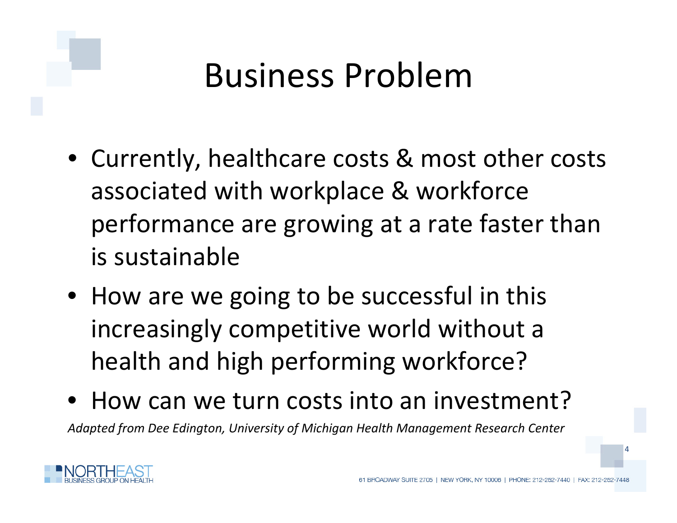### **Business Problem**

- Currently, healthcare costs & most other costs Fourthassociated with workplace & workforce performance are growing at <sup>a</sup> rate faster than is sustainable
- How are we going to be successful in this increasingly competitive world without <sup>a</sup> health and high performing workforce?
- How can we turn costs into an investment? *Adapted from Dee Edington, University of Michigan Health Management Research Center*

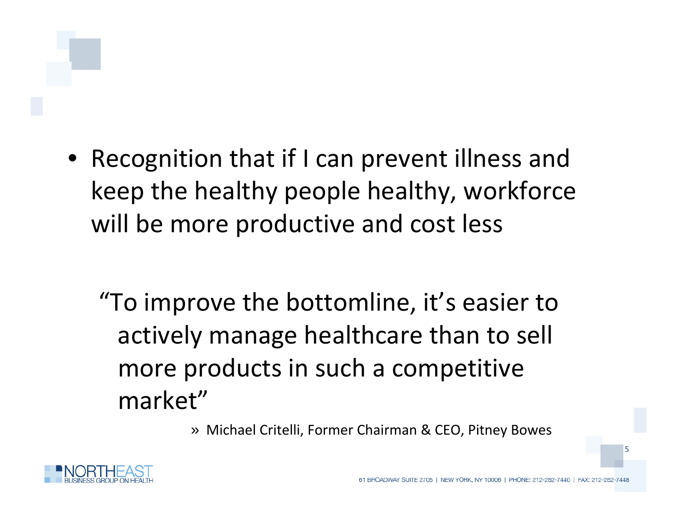• Recognition that if I can prevent illness and **THE LE** keep the healthy people healthy, workforce will be more productive and cost less

"To improve the bottomline, it's easier to actively manage healthcare than to sell more products in such <sup>a</sup> competitive market"

» Michael Critelli, Former Chairman & CEO, Pitney Bowes

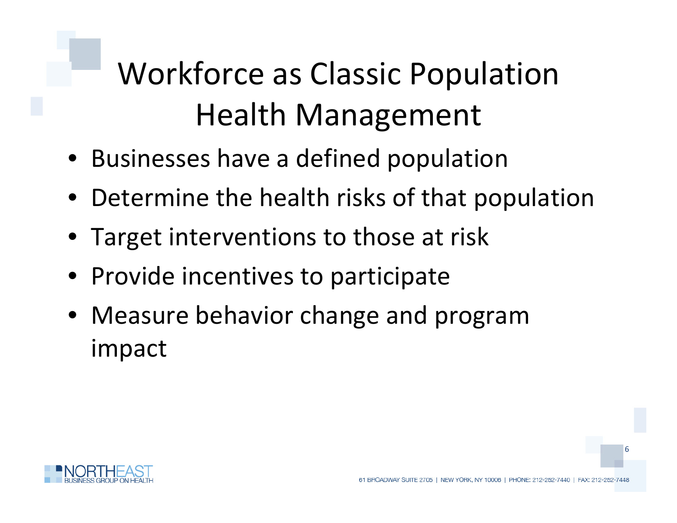## **Workforce as Classic Population** Health Management

- Businesses have a defined population
- Determine the health risks of that population
- Target interventions to those at risk
- Provide incentives to participate
- Measure behavior change and program impact

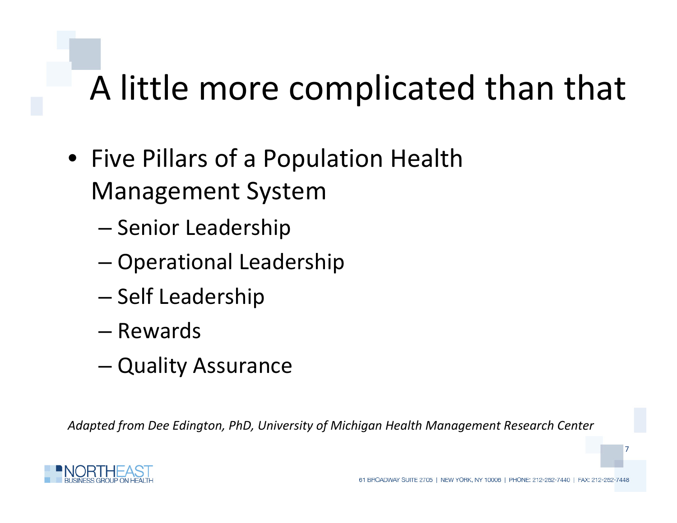#### **Click to edit Master title style** A little more complicated than that

- Five Pillars of a Population Health Management System
	- Senior Leadership
	- Operational Leadership
	- Self Leadership
	- Rewards
	- Quality Assurance

*Adapted from Dee Edington, PhD, University of Michigan Health Management Research Center*

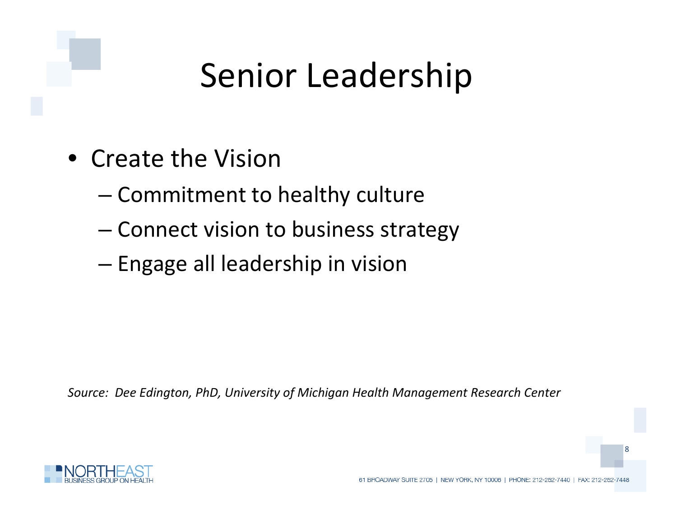## **Senior Leadership**

- Create the Vision
	- $-$  Commitment to healthy culture
	- Connect vision to business strategy
	- Engage all leadership in vision

*Source: Dee Edington, PhD, University of Michigan Health Management Research Center*

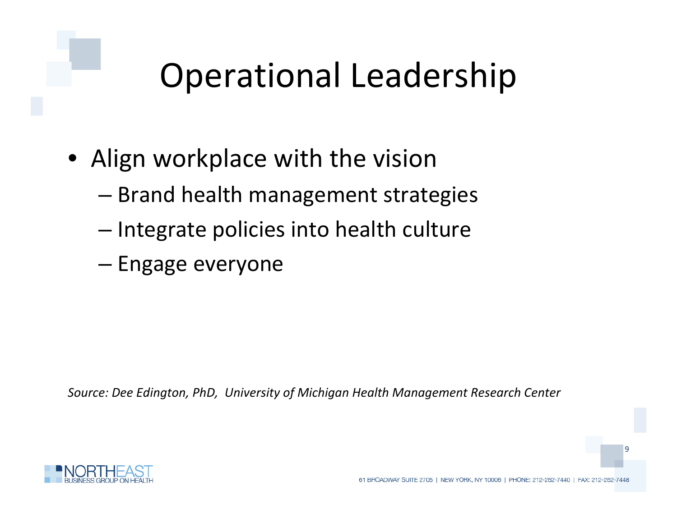## **Operational Leadership**

- Align workplace with the vision level
	- Brand health management strategies
	- Integrate policies into health culture
	- Engage everyone

*Source: Dee Edington, PhD, University of Michigan Health Management Research Center*

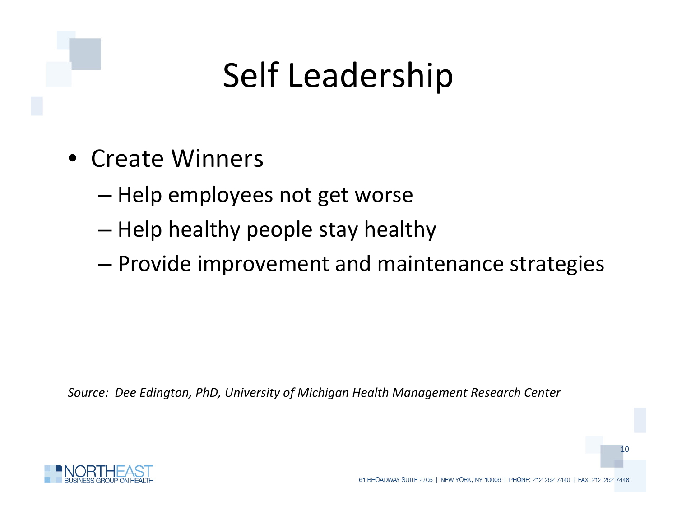## **Self Leadership**

- Create Winners
	- Help employees not get worse
	- Help healthy people stay healthy
	- Provide improvement and maintenance strategies

*Source: Dee Edington, PhD, University of Michigan Health Management Research Center*

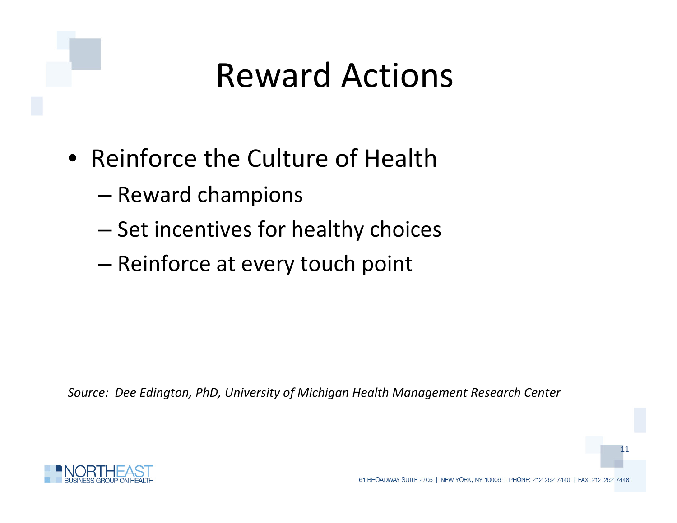### **Reward Actions**

- Reinforce the Culture of Health
	- Reward champions
	- Set incentives for healthy choices
	- Reinforce at every touch point

*Source: Dee Edington, PhD, University of Michigan Health Management Research Center*

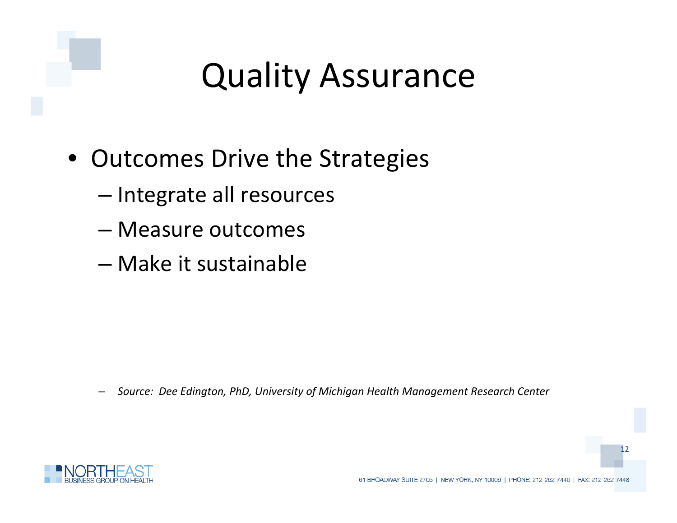### **C C C edity** Assurance

- Outcomes Drive the Strategies
	- Integrate all resources
	- Measure outcomes
	- Make it sustainable

– *Source: Dee Edington, PhD, University of Michigan Health Management Research Center*

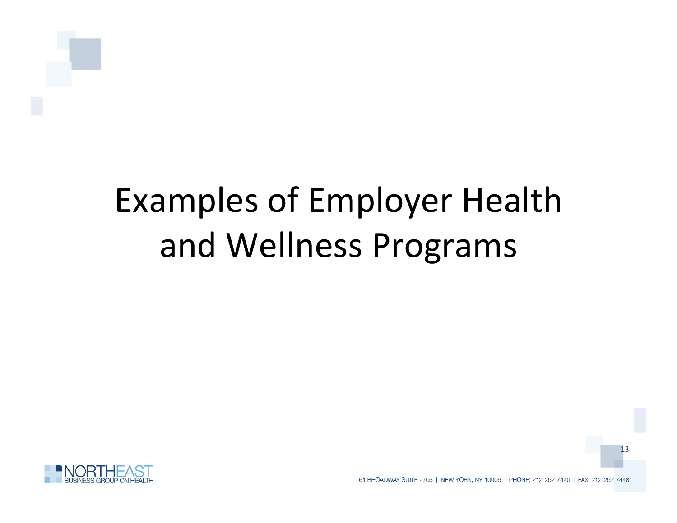# Examples of Employer Health and Wellness Programs

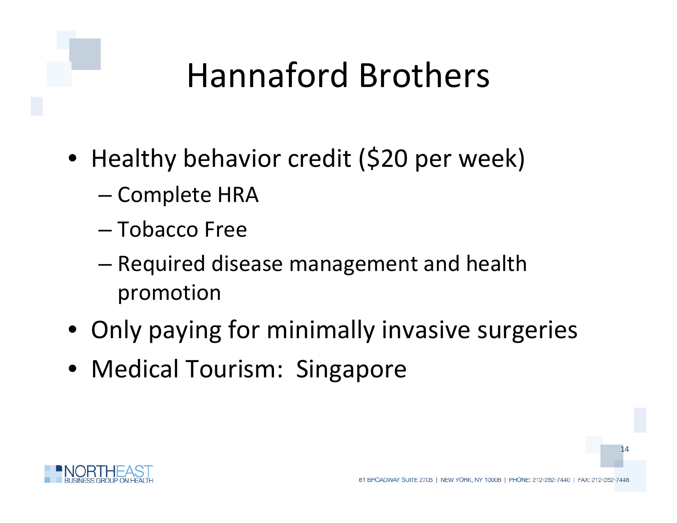# **Hannaford Brothers**

- Healthy behavior credit (\$20 per week) Fourth
	- Complete HRA
	- Tobacco Free
	- Required disease management and health promotion
- Only paying for minimally invasive surgeries
- Medical Tourism: Singapore

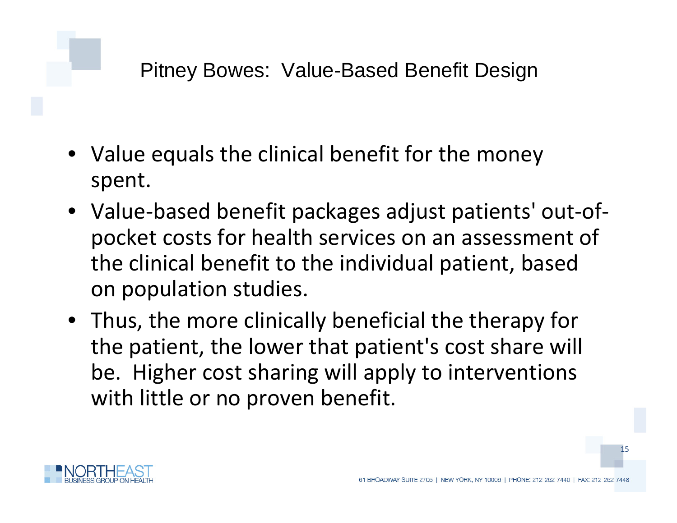**Pitney Bowes: Value-Based Benefit Design** 

- Value equals the clinical benefit for the money spent.
- Value‐based benefit packages adjust patients' out‐of‐ pocket costs for health services on an assessment of the clinical benefit to the individual patient, based on population studies.
- Thus, the more clinically beneficial the therapy for the patient, the lower that patient's cost share will be. Higher cost sharing will apply to interventions with little or no proven benefit.

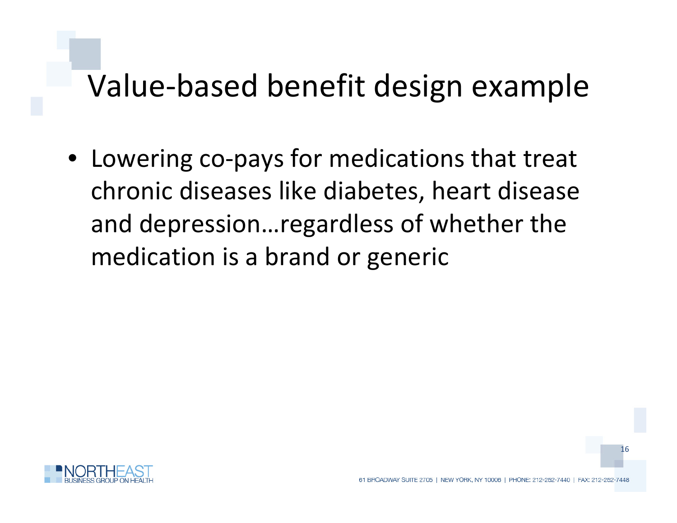#### **Click to edit Master title style** Value ‐based benefit design example

• Lowering co-pays for medications that treat Fourthchronic diseases like diabetes, heart disease and depression…regardless of whether the medication is a brand or generic

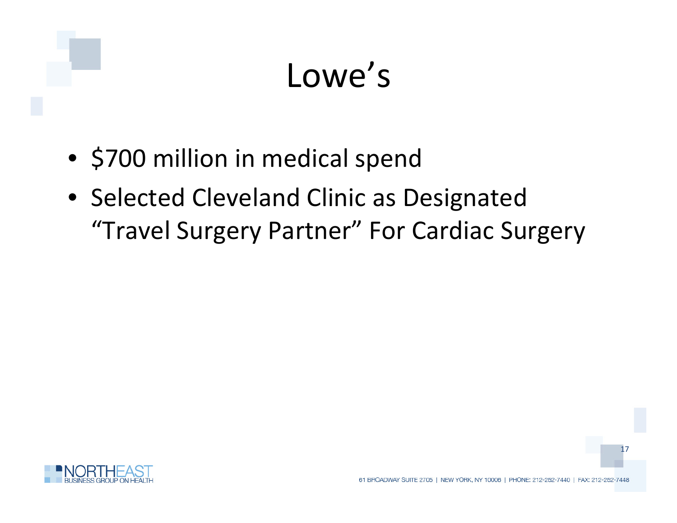### **Lowe's**

- \$700 million in medical spend
- Selected Cleveland Clinic as Designated "Travel Surgery Partner" For Cardiac Surgery

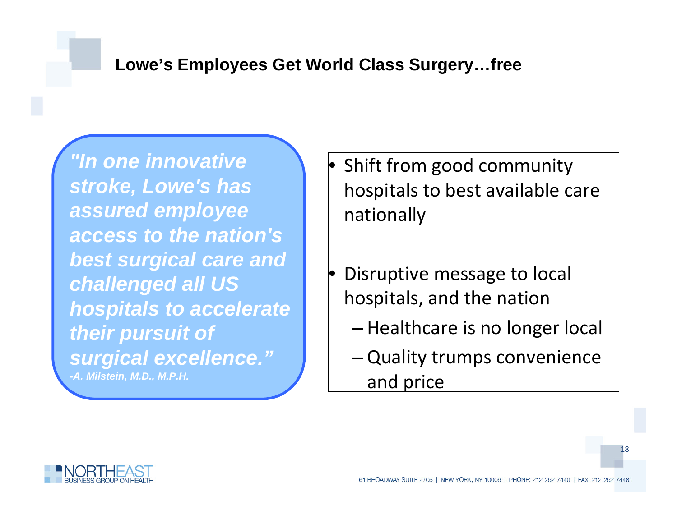### **Click to edit Master title style Lowe's Employees Get World Class Surgery…free**

*"In one innovative*  Fifth level *stroke, Lowe's has assured employee access to the nation's best surgical care and challenged all US hospitals to accelerate their pursuit of surgical excellence." -A. Milstein, M.D., M.P.H.*

level

- Shift from good community hospitals to best available care nationally
- Disruptive message to local hospitals, and the nation
	- Healthcare is no longer local
	- Quality trumps convenience and price



۳

Second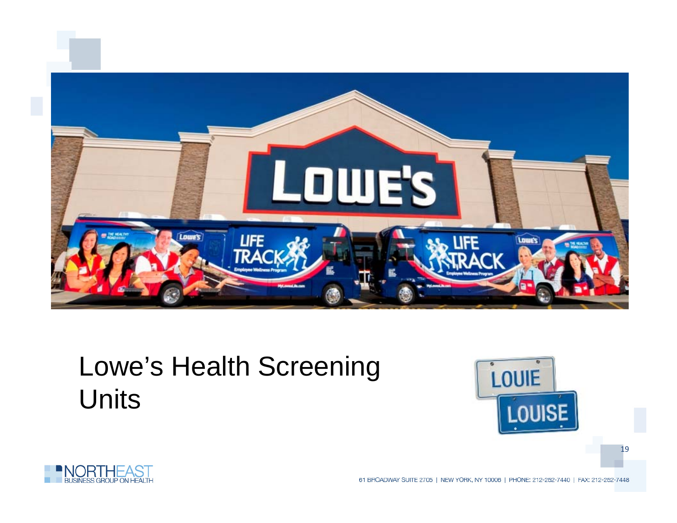

### Lowe's Health Screening Units



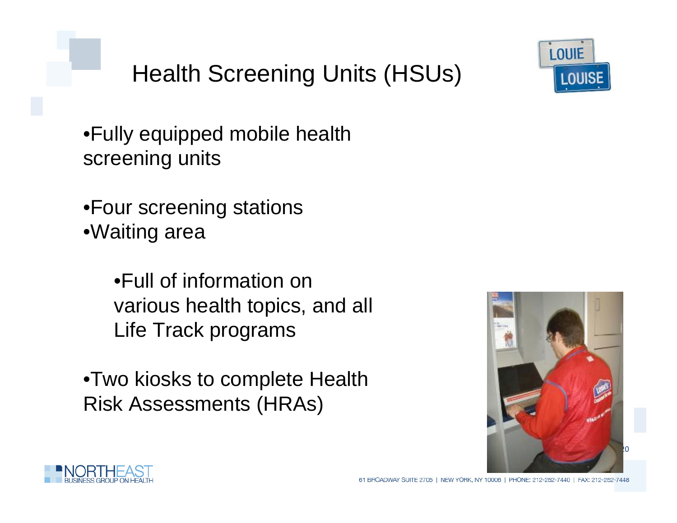



 $\bullet$ Fully equipped mobile health screening units

•Four screening stations •Waiting area

> •Full of information on various health topics, and all Life Track programs

•Two kiosks to complete Health Risk Assessments (HRAs)



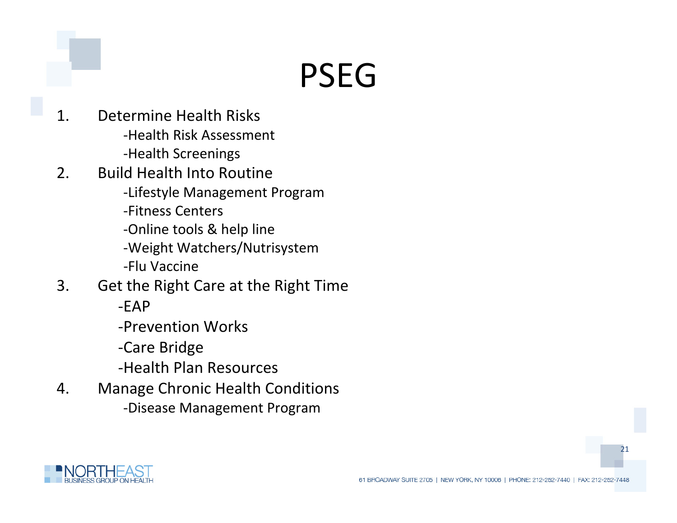# **edit Master title style** PSEG

- . Determine Health Risks -Health Risk Assessment 1.
	- -Health Screenings
- . Build Health Into Routine 2.
	- -Lifestyle Management Program
	- ‐Fitness Centers
	- ‐Online tools & help line
	- ‐Weight Watchers/Nutrisystem
	- ‐Flu Vaccine
- 3. Get the Right Care at the Right Time
	- $-FAP$
	- ‐Prevention Works
	- ‐Care Bridge
	- ‐Health Plan Resources
- 4. Manage Chronic Health Conditions
	- ‐Disease Management Program

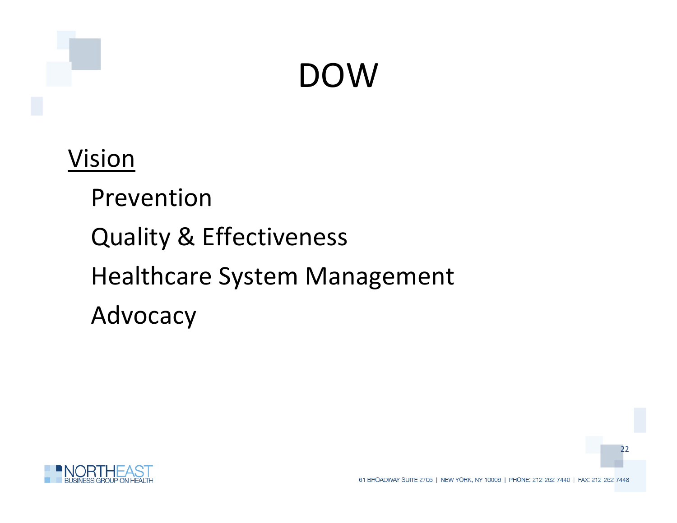### **edit Master title style** DOW

### Vision

Prevention Quality & Effectiveness Healthcare System Management Advocacy

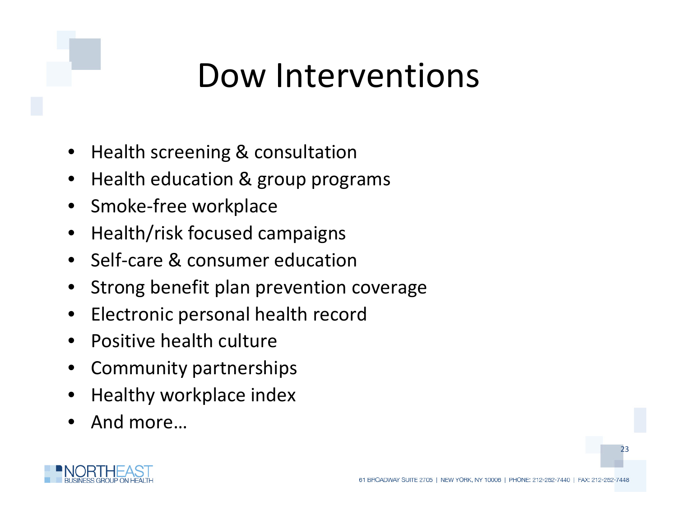### **Dow Interventions**

- Health screening & consultation
- $\bullet$  Health education & group programs
- Smoke‐free workplace
- Health/risk focused campaigns
- Self-care & consumer education
- Strong benefit plan prevention coverage
- Electronic personal health record
- Positive health culture
- Community partnerships
- Healthy workplace index
- And more…

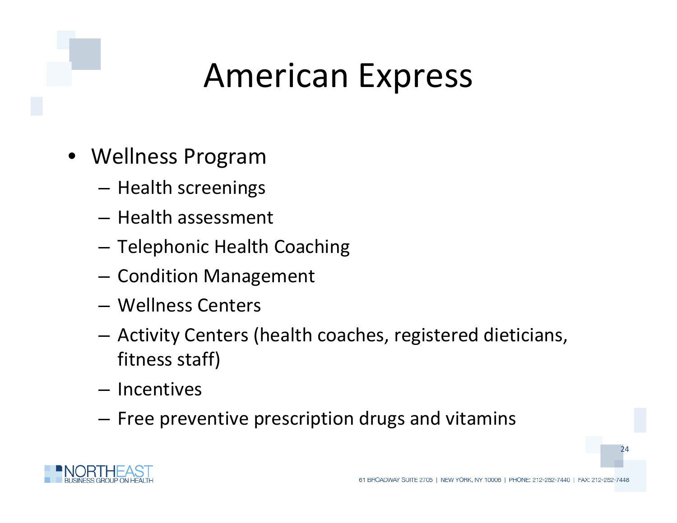### **American Express**

- Wellness Program
	- $-$  Health screenings
	- Health assessment
	- Telephonic Health Coaching
	- Condition Management
	- Wellness Centers
	- Activity Centers (health coaches, registered dieticians, fitness staff)
	- Incentives
	- Free preventive prescription drugs and vitamins

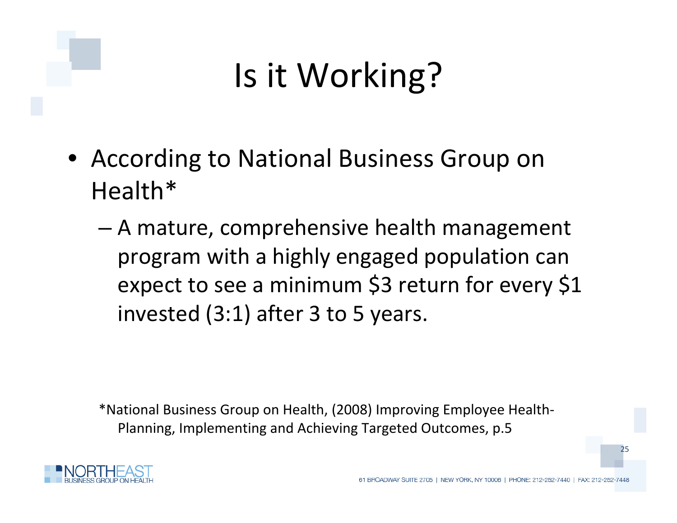# **Is it Working?**

- According to National Business Group on FourthHealth\*
	- A mature, comprehensive health management program with <sup>a</sup> highly engaged population can expect to see a minimum \$3 return for every \$1 invested (3:1) after 3 to 5 years.

\*National Business Group on Health, (2008) Improving Employee Health‐ Planning, Implementing and Achieving Targeted Outcomes, p.5

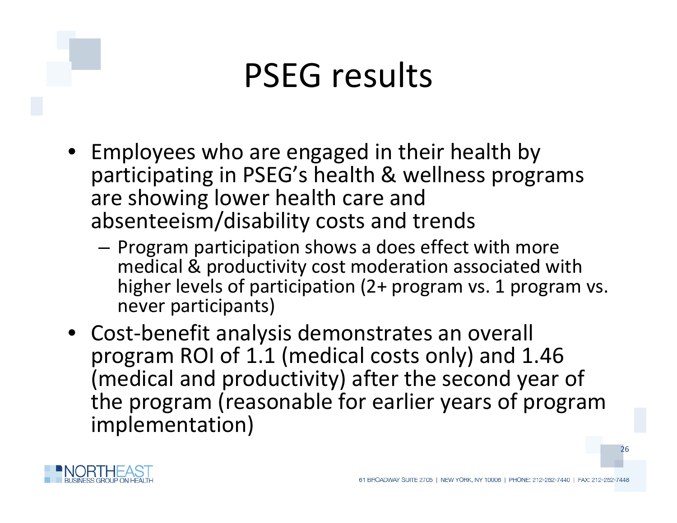### **PSEG results**

- Employees who are engaged in their health by participating in PSEG's health & wellness programs are showing lower health care and absenteeism/disability costs and trends
	- Program participation shows a does effect with more medical & productivity cost moderation associated with higher levels of participation (2+ program vs. 1 program vs. never participants)
- Cost ‐benefit analysis demonstrates an overall program ROI of 1.1 (medical costs only) and 1.46 (medical and productivity) after the second year of the program (reasonable for earlier years of program implementation)